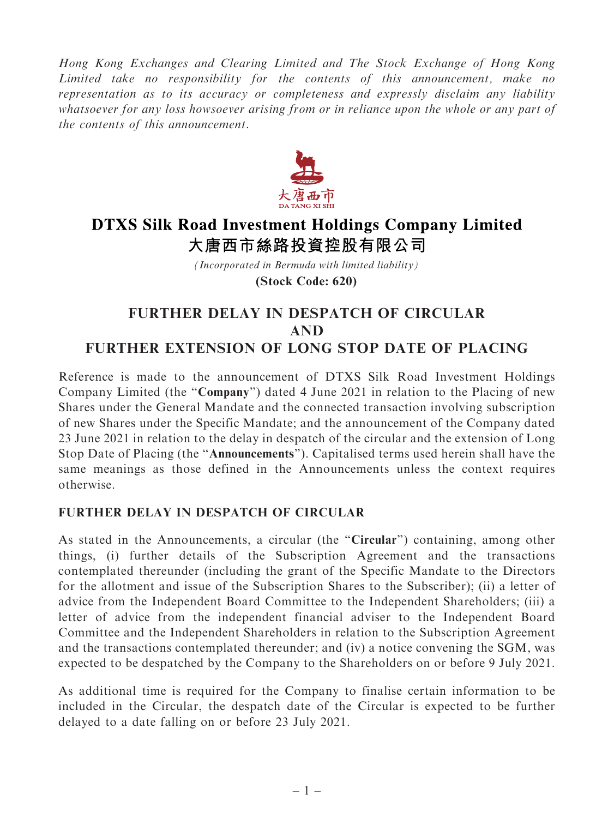Hong Kong Exchanges and Clearing Limited and The Stock Exchange of Hong Kong Limited take no responsibility for the contents of this announcement, make no representation as to its accuracy or completeness and expressly disclaim any liability whatsoever for any loss howsoever arising from or in reliance upon the whole or any part of the contents of this announcement.



## **DTXS Silk Road Investment Holdings Company Limited** 大唐西市絲路投資控股有限公司

*(Incorporated in Bermuda with limited liability)* **(Stock Code: 620)**

## FURTHER DELAY IN DESPATCH OF CIRCULAR AND FURTHER EXTENSION OF LONG STOP DATE OF PLACING

Reference is made to the announcement of DTXS Silk Road Investment Holdings Company Limited (the "Company") dated 4 June 2021 in relation to the Placing of new Shares under the General Mandate and the connected transaction involving subscription of new Shares under the Specific Mandate; and the announcement of the Company dated 23 June 2021 in relation to the delay in despatch of the circular and the extension of Long Stop Date of Placing (the ''Announcements''). Capitalised terms used herein shall have the same meanings as those defined in the Announcements unless the context requires otherwise.

## FURTHER DELAY IN DESPATCH OF CIRCULAR

As stated in the Announcements, a circular (the "Circular") containing, among other things, (i) further details of the Subscription Agreement and the transactions contemplated thereunder (including the grant of the Specific Mandate to the Directors for the allotment and issue of the Subscription Shares to the Subscriber); (ii) a letter of advice from the Independent Board Committee to the Independent Shareholders; (iii) a letter of advice from the independent financial adviser to the Independent Board Committee and the Independent Shareholders in relation to the Subscription Agreement and the transactions contemplated thereunder; and (iv) a notice convening the SGM, was expected to be despatched by the Company to the Shareholders on or before 9 July 2021.

As additional time is required for the Company to finalise certain information to be included in the Circular, the despatch date of the Circular is expected to be further delayed to a date falling on or before 23 July 2021.